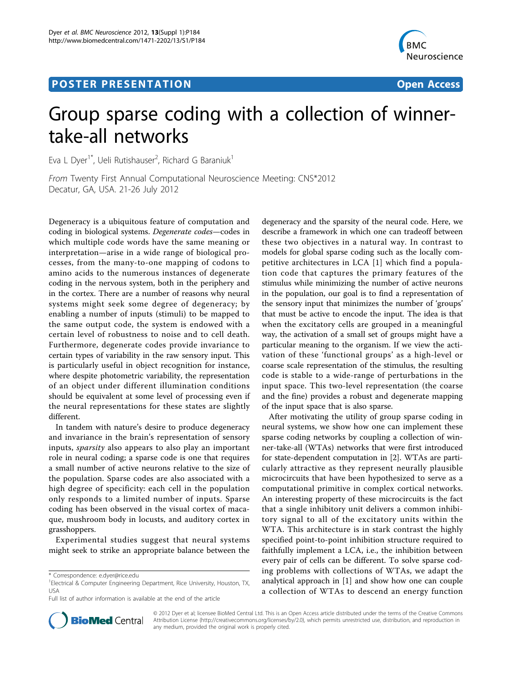# **POSTER PRESENTATION CONSUMING THE SERVICE SERVICE SERVICES**



# Group sparse coding with a collection of winnertake-all networks

Eva L Dyer<sup>1\*</sup>, Ueli Rutishauser<sup>2</sup>, Richard G Baraniuk<sup>1</sup>

From Twenty First Annual Computational Neuroscience Meeting: CNS\*2012 Decatur, GA, USA. 21-26 July 2012

Degeneracy is a ubiquitous feature of computation and coding in biological systems. Degenerate codes—codes in which multiple code words have the same meaning or interpretation—arise in a wide range of biological processes, from the many-to-one mapping of codons to amino acids to the numerous instances of degenerate coding in the nervous system, both in the periphery and in the cortex. There are a number of reasons why neural systems might seek some degree of degeneracy; by enabling a number of inputs (stimuli) to be mapped to the same output code, the system is endowed with a certain level of robustness to noise and to cell death. Furthermore, degenerate codes provide invariance to certain types of variability in the raw sensory input. This is particularly useful in object recognition for instance, where despite photometric variability, the representation of an object under different illumination conditions should be equivalent at some level of processing even if the neural representations for these states are slightly different.

In tandem with nature's desire to produce degeneracy and invariance in the brain's representation of sensory inputs, sparsity also appears to also play an important role in neural coding; a sparse code is one that requires a small number of active neurons relative to the size of the population. Sparse codes are also associated with a high degree of specificity: each cell in the population only responds to a limited number of inputs. Sparse coding has been observed in the visual cortex of macaque, mushroom body in locusts, and auditory cortex in grasshoppers.

Experimental studies suggest that neural systems might seek to strike an appropriate balance between the

Full list of author information is available at the end of the article

degeneracy and the sparsity of the neural code. Here, we describe a framework in which one can tradeoff between these two objectives in a natural way. In contrast to models for global sparse coding such as the locally competitive architectures in LCA [[1\]](#page-1-0) which find a population code that captures the primary features of the stimulus while minimizing the number of active neurons in the population, our goal is to find a representation of the sensory input that minimizes the number of 'groups' that must be active to encode the input. The idea is that when the excitatory cells are grouped in a meaningful way, the activation of a small set of groups might have a particular meaning to the organism. If we view the activation of these 'functional groups' as a high-level or coarse scale representation of the stimulus, the resulting code is stable to a wide-range of perturbations in the input space. This two-level representation (the coarse and the fine) provides a robust and degenerate mapping of the input space that is also sparse.

After motivating the utility of group sparse coding in neural systems, we show how one can implement these sparse coding networks by coupling a collection of winner-take-all (WTAs) networks that were first introduced for state-dependent computation in [[2\]](#page-1-0). WTAs are particularly attractive as they represent neurally plausible microcircuits that have been hypothesized to serve as a computational primitive in complex cortical networks. An interesting property of these microcircuits is the fact that a single inhibitory unit delivers a common inhibitory signal to all of the excitatory units within the WTA. This architecture is in stark contrast the highly specified point-to-point inhibition structure required to faithfully implement a LCA, i.e., the inhibition between every pair of cells can be different. To solve sparse coding problems with collections of WTAs, we adapt the analytical approach in [[1](#page-1-0)] and show how one can couple a collection of WTAs to descend an energy function



© 2012 Dyer et al; licensee BioMed Central Ltd. This is an Open Access article distributed under the terms of the Creative Commons Attribution License [\(http://creativecommons.org/licenses/by/2.0](http://creativecommons.org/licenses/by/2.0)), which permits unrestricted use, distribution, and reproduction in any medium, provided the original work is properly cited.

<sup>\*</sup> Correspondence: [e.dyer@rice.edu](mailto:e.dyer@rice.edu)

<sup>&</sup>lt;sup>1</sup> Electrical & Computer Engineering Department, Rice University, Houston, TX, USA